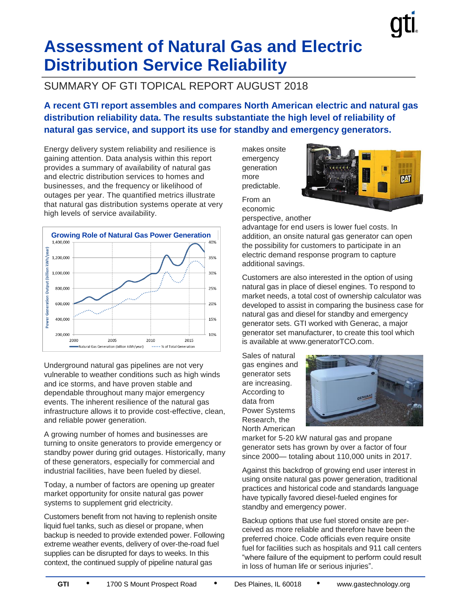# **Assessment of Natural Gas and Electric Distribution Service Reliability**

## SUMMARY OF GTI TOPICAL REPORT AUGUST 2018

**A recent GTI report assembles and compares North American electric and natural gas distribution reliability data. The results substantiate the high level of reliability of natural gas service, and support its use for standby and emergency generators.**

Energy delivery system reliability and resilience is gaining attention. Data analysis within this report provides a summary of availability of natural gas and electric distribution services to homes and businesses, and the frequency or likelihood of outages per year. The quantified metrics illustrate that natural gas distribution systems operate at very high levels of service availability.



Underground natural gas pipelines are not very vulnerable to weather conditions such as high winds and ice storms, and have proven stable and dependable throughout many major emergency events. The inherent resilience of the natural gas infrastructure allows it to provide cost-effective, clean, and reliable power generation.

A growing number of homes and businesses are turning to onsite generators to provide emergency or standby power during grid outages. Historically, many of these generators, especially for commercial and industrial facilities, have been fueled by diesel.

Today, a number of factors are opening up greater market opportunity for onsite natural gas power systems to supplement grid electricity.

Customers benefit from not having to replenish onsite liquid fuel tanks, such as diesel or propane, when backup is needed to provide extended power. Following extreme weather events, delivery of over-the-road fuel supplies can be disrupted for days to weeks. In this context, the continued supply of pipeline natural gas

makes onsite emergency generation more predictable.

From an



economic

perspective, another

advantage for end users is lower fuel costs. In addition, an onsite natural gas generator can open the possibility for customers to participate in an electric demand response program to capture additional savings.

Customers are also interested in the option of using natural gas in place of diesel engines. To respond to market needs, a total cost of ownership calculator was developed to assist in comparing the business case for natural gas and diesel for standby and emergency generator sets. GTI worked with Generac, a major generator set manufacturer, to create this tool which is available at www.generatorTCO.com.

Sales of natural gas engines and generator sets are increasing. According to data from Power Systems Research, the North American



market for 5-20 kW natural gas and propane generator sets has grown by over a factor of four since 2000— totaling about 110,000 units in 2017.

Against this backdrop of growing end user interest in using onsite natural gas power generation, traditional practices and historical code and standards language have typically favored diesel-fueled engines for standby and emergency power.

Backup options that use fuel stored onsite are perceived as more reliable and therefore have been the preferred choice. Code officials even require onsite fuel for facilities such as hospitals and 911 call centers "where failure of the equipment to perform could result in loss of human life or serious injuries".